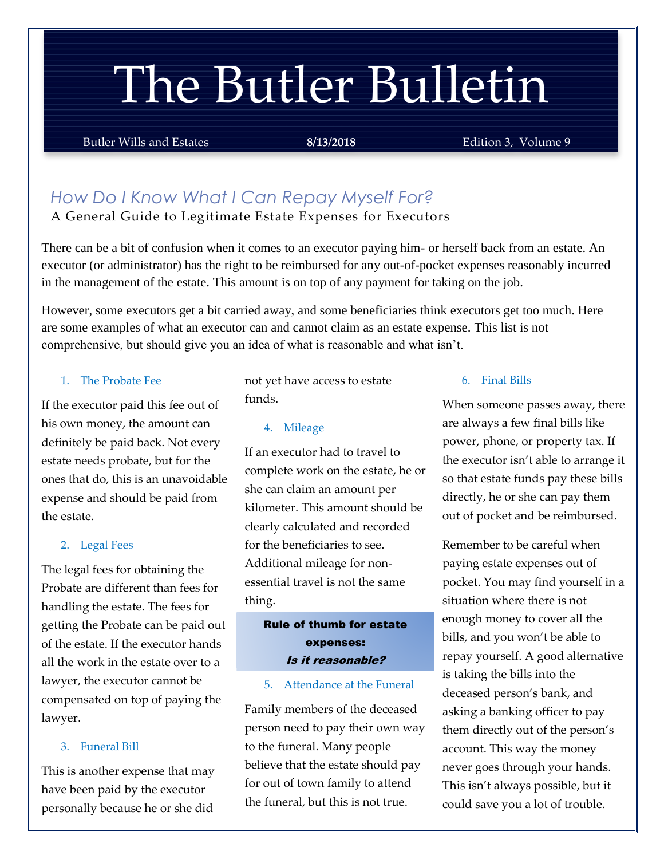# The Butler Bulletin

Butler Wills and Estates **8/13/2018** Edition 3, Volume 9

# *How Do I Know What I Can Repay Myself For?*

A General Guide to Legitimate Estate Expenses for Executors

There can be a bit of confusion when it comes to an executor paying him- or herself back from an estate. An executor (or administrator) has the right to be reimbursed for any out-of-pocket expenses reasonably incurred in the management of the estate. This amount is on top of any payment for taking on the job.

However, some executors get a bit carried away, and some beneficiaries think executors get too much. Here are some examples of what an executor can and cannot claim as an estate expense. This list is not comprehensive, but should give you an idea of what is reasonable and what isn't.

#### 1. The Probate Fee

If the executor paid this fee out of his own money, the amount can definitely be paid back. Not every estate needs probate, but for the ones that do, this is an unavoidable expense and should be paid from the estate.

#### 2. Legal Fees

The legal fees for obtaining the Probate are different than fees for handling the estate. The fees for getting the Probate can be paid out of the estate. If the executor hands all the work in the estate over to a lawyer, the executor cannot be compensated on top of paying the lawyer.

#### 3. Funeral Bill

This is another expense that may have been paid by the executor personally because he or she did

not yet have access to estate funds.

#### 4. Mileage

If an executor had to travel to complete work on the estate, he or she can claim an amount per kilometer. This amount should be clearly calculated and recorded for the beneficiaries to see. Additional mileage for nonessential travel is not the same thing.

### Rule of thumb for estate expenses: Is it reasonable?

#### 5. Attendance at the Funeral

Family members of the deceased person need to pay their own way to the funeral. Many people believe that the estate should pay for out of town family to attend the funeral, but this is not true.

#### 6. Final Bills

When someone passes away, there are always a few final bills like power, phone, or property tax. If the executor isn't able to arrange it so that estate funds pay these bills directly, he or she can pay them out of pocket and be reimbursed.

Remember to be careful when paying estate expenses out of pocket. You may find yourself in a situation where there is not enough money to cover all the bills, and you won't be able to repay yourself. A good alternative is taking the bills into the deceased person's bank, and asking a banking officer to pay them directly out of the person's account. This way the money never goes through your hands. This isn't always possible, but it could save you a lot of trouble.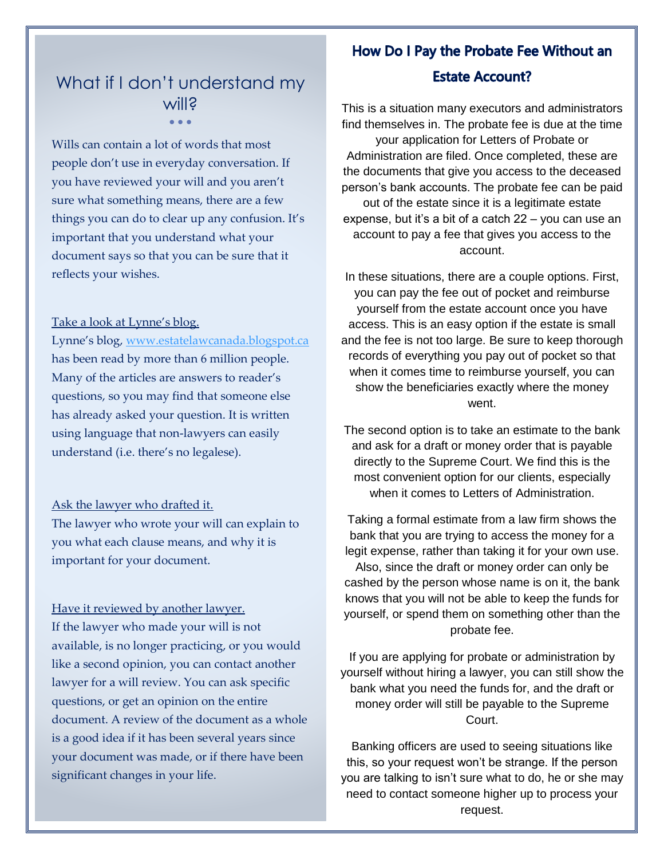## What if I don't understand my will? • • •

Wills can contain a lot of words that most people don't use in everyday conversation. If you have reviewed your will and you aren't sure what something means, there are a few things you can do to clear up any confusion. It's important that you understand what your document says so that you can be sure that it reflects your wishes.

#### Take a look at Lynne's blog.

Lynne's blog, [www.estatelawcanada.blogspot.ca](http://www.estatelawcanada.blogspot.ca/) has been read by more than 6 million people. Many of the articles are answers to reader's questions, so you may find that someone else has already asked your question. It is written using language that non-lawyers can easily understand (i.e. there's no legalese).

#### Ask the lawyer who drafted it.

The lawyer who wrote your will can explain to you what each clause means, and why it is important for your document.

Have it reviewed by another lawyer. If the lawyer who made your will is not available, is no longer practicing, or you would like a second opinion, you can contact another lawyer for a will review. You can ask specific questions, or get an opinion on the entire document. A review of the document as a whole is a good idea if it has been several years since your document was made, or if there have been significant changes in your life.

## How Do I Pay the Probate Fee Without an **Estate Account?**

This is a situation many executors and administrators find themselves in. The probate fee is due at the time your application for Letters of Probate or Administration are filed. Once completed, these are the documents that give you access to the deceased person's bank accounts. The probate fee can be paid out of the estate since it is a legitimate estate expense, but it's a bit of a catch 22 – you can use an account to pay a fee that gives you access to the account.

In these situations, there are a couple options. First, you can pay the fee out of pocket and reimburse yourself from the estate account once you have access. This is an easy option if the estate is small and the fee is not too large. Be sure to keep thorough records of everything you pay out of pocket so that when it comes time to reimburse yourself, you can show the beneficiaries exactly where the money went.

The second option is to take an estimate to the bank and ask for a draft or money order that is payable directly to the Supreme Court. We find this is the most convenient option for our clients, especially when it comes to Letters of Administration.

Taking a formal estimate from a law firm shows the bank that you are trying to access the money for a legit expense, rather than taking it for your own use. Also, since the draft or money order can only be cashed by the person whose name is on it, the bank knows that you will not be able to keep the funds for yourself, or spend them on something other than the probate fee.

If you are applying for probate or administration by yourself without hiring a lawyer, you can still show the bank what you need the funds for, and the draft or money order will still be payable to the Supreme Court.

Banking officers are used to seeing situations like this, so your request won't be strange. If the person you are talking to isn't sure what to do, he or she may need to contact someone higher up to process your request.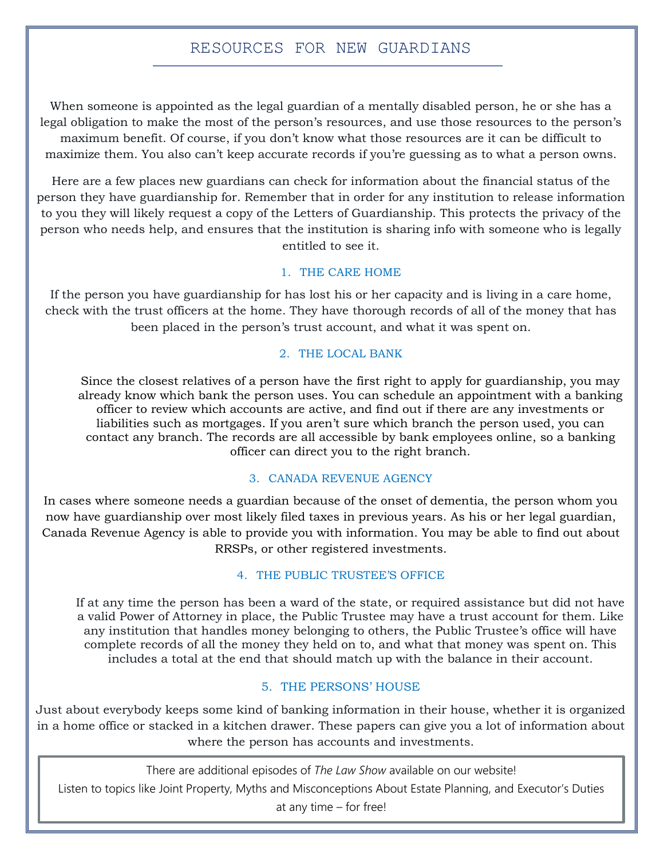## RESOURCES FOR NEW GUARDIANS

When someone is appointed as the legal guardian of a mentally disabled person, he or she has a legal obligation to make the most of the person's resources, and use those resources to the person's maximum benefit. Of course, if you don't know what those resources are it can be difficult to maximize them. You also can't keep accurate records if you're guessing as to what a person owns.

Here are a few places new guardians can check for information about the financial status of the person they have guardianship for. Remember that in order for any institution to release information to you they will likely request a copy of the Letters of Guardianship. This protects the privacy of the person who needs help, and ensures that the institution is sharing info with someone who is legally entitled to see it.

#### 1. THE CARE HOME

If the person you have guardianship for has lost his or her capacity and is living in a care home, check with the trust officers at the home. They have thorough records of all of the money that has been placed in the person's trust account, and what it was spent on.

#### 2. THE LOCAL BANK

Since the closest relatives of a person have the first right to apply for guardianship, you may already know which bank the person uses. You can schedule an appointment with a banking officer to review which accounts are active, and find out if there are any investments or liabilities such as mortgages. If you aren't sure which branch the person used, you can contact any branch. The records are all accessible by bank employees online, so a banking officer can direct you to the right branch.

#### 3. CANADA REVENUE AGENCY

In cases where someone needs a guardian because of the onset of dementia, the person whom you now have guardianship over most likely filed taxes in previous years. As his or her legal guardian, Canada Revenue Agency is able to provide you with information. You may be able to find out about RRSPs, or other registered investments.

#### 4. THE PUBLIC TRUSTEE'S OFFICE

If at any time the person has been a ward of the state, or required assistance but did not have a valid Power of Attorney in place, the Public Trustee may have a trust account for them. Like any institution that handles money belonging to others, the Public Trustee's office will have complete records of all the money they held on to, and what that money was spent on. This includes a total at the end that should match up with the balance in their account.

#### 5. THE PERSONS' HOUSE

Just about everybody keeps some kind of banking information in their house, whether it is organized in a home office or stacked in a kitchen drawer. These papers can give you a lot of information about where the person has accounts and investments.

There are additional episodes of *The Law Show* available on our website! Listen to topics like Joint Property, Myths and Misconceptions About Estate Planning, and Executor's Duties at any time – for free!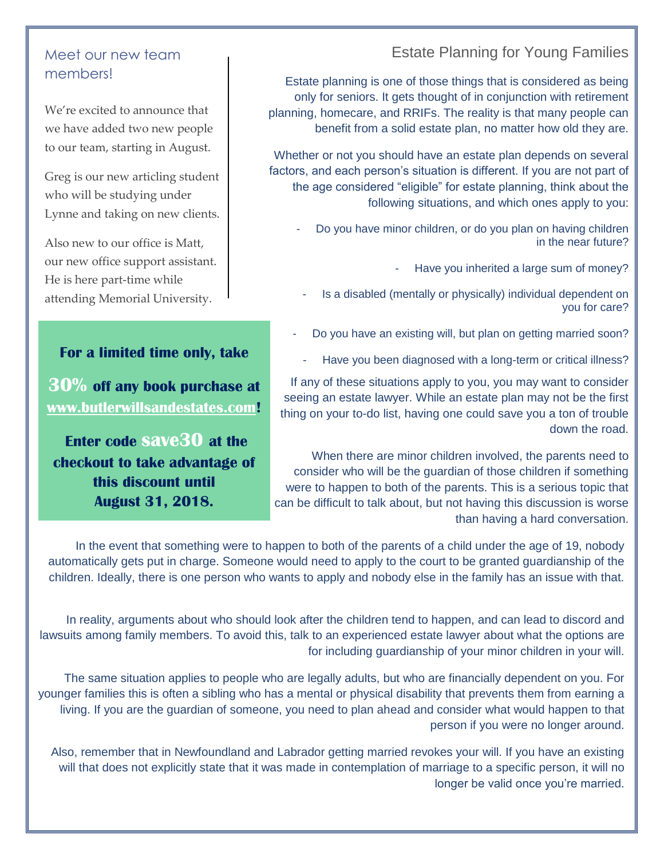## Estate Planning for Young Families

Estate planning is one of those things that is considered as being only for seniors. It gets thought of in conjunction with retirement planning, homecare, and RRIFs. The reality is that many people can benefit from a solid estate plan, no matter how old they are.

Whether or not you should have an estate plan depends on several factors, and each person's situation is different. If you are not part of the age considered "eligible" for estate planning, think about the following situations, and which ones apply to you:

Do you have minor children, or do you plan on having children in the near future?

Have you inherited a large sum of money?

- Is a disabled (mentally or physically) individual dependent on you for care?
- Do you have an existing will, but plan on getting married soon?
	- Have you been diagnosed with a long-term or critical illness?

If any of these situations apply to you, you may want to consider seeing an estate lawyer. While an estate plan may not be the first thing on your to-do list, having one could save you a ton of trouble down the road.

When there are minor children involved, the parents need to consider who will be the guardian of those children if something were to happen to both of the parents. This is a serious topic that can be difficult to talk about, but not having this discussion is worse than having a hard conversation.

## Meet our new team members!

We're excited to announce that we have added two new people to our team, starting in August.

Greg is our new articling student who will be studying under Lynne and taking on new clients.

Also new to our office is Matt, our new office support assistant. He is here part-time while attending Memorial University.

## **For a limited time only, take**

**30% off any book purchase at [www.butlerwillsandestates.com!](http://www.butlerwillsandestates.com/)**

**Enter code save30 at the checkout to take advantage of this discount until August 31, 2018.**

In the event that something were to happen to both of the parents of a child under the age of 19, nobody automatically gets put in charge. Someone would need to apply to the court to be granted guardianship of the children. Ideally, there is one person who wants to apply and nobody else in the family has an issue with that.

In reality, arguments about who should look after the children tend to happen, and can lead to discord and lawsuits among family members. To avoid this, talk to an experienced estate lawyer about what the options are for including guardianship of your minor children in your will.

The same situation applies to people who are legally adults, but who are financially dependent on you. For younger families this is often a sibling who has a mental or physical disability that prevents them from earning a living. If you are the guardian of someone, you need to plan ahead and consider what would happen to that person if you were no longer around.

Also, remember that in Newfoundland and Labrador getting married revokes your will. If you have an existing will that does not explicitly state that it was made in contemplation of marriage to a specific person, it will no longer be valid once you're married.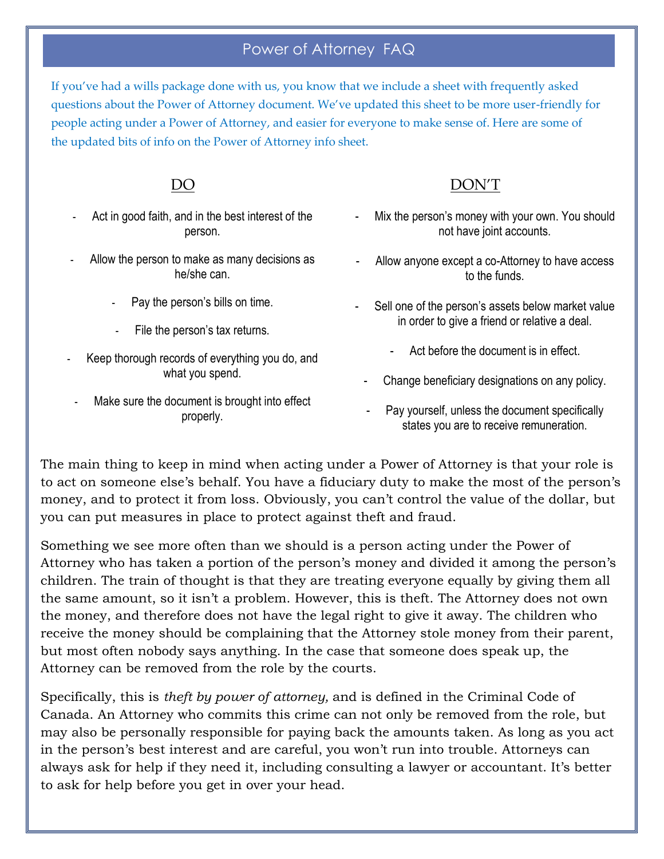## Power of Attorney FAQ

If you've had a wills package done with us, you know that we include a sheet with frequently asked questions about the Power of Attorney document. We've updated this sheet to be more user-friendly for people acting under a Power of Attorney, and easier for everyone to make sense of. Here are some of the updated bits of info on the Power of Attorney info sheet.

## DO

- Act in good faith, and in the best interest of the person.
- Allow the person to make as many decisions as he/she can.
	- Pay the person's bills on time.
	- File the person's tax returns.
- Keep thorough records of everything you do, and what you spend.
	- Make sure the document is brought into effect properly.

## DON'T

- Mix the person's money with your own. You should not have joint accounts.
- Allow anyone except a co-Attorney to have access to the funds.
- Sell one of the person's assets below market value in order to give a friend or relative a deal.
	- Act before the document is in effect.
	- Change beneficiary designations on any policy.
	- Pay yourself, unless the document specifically states you are to receive remuneration.

The main thing to keep in mind when acting under a Power of Attorney is that your role is to act on someone else's behalf. You have a fiduciary duty to make the most of the person's money, and to protect it from loss. Obviously, you can't control the value of the dollar, but you can put measures in place to protect against theft and fraud.

Something we see more often than we should is a person acting under the Power of Attorney who has taken a portion of the person's money and divided it among the person's children. The train of thought is that they are treating everyone equally by giving them all the same amount, so it isn't a problem. However, this is theft. The Attorney does not own the money, and therefore does not have the legal right to give it away. The children who receive the money should be complaining that the Attorney stole money from their parent, but most often nobody says anything. In the case that someone does speak up, the Attorney can be removed from the role by the courts.

Specifically, this is *theft by power of attorney,* and is defined in the Criminal Code of Canada. An Attorney who commits this crime can not only be removed from the role, but may also be personally responsible for paying back the amounts taken. As long as you act in the person's best interest and are careful, you won't run into trouble. Attorneys can always ask for help if they need it, including consulting a lawyer or accountant. It's better to ask for help before you get in over your head.